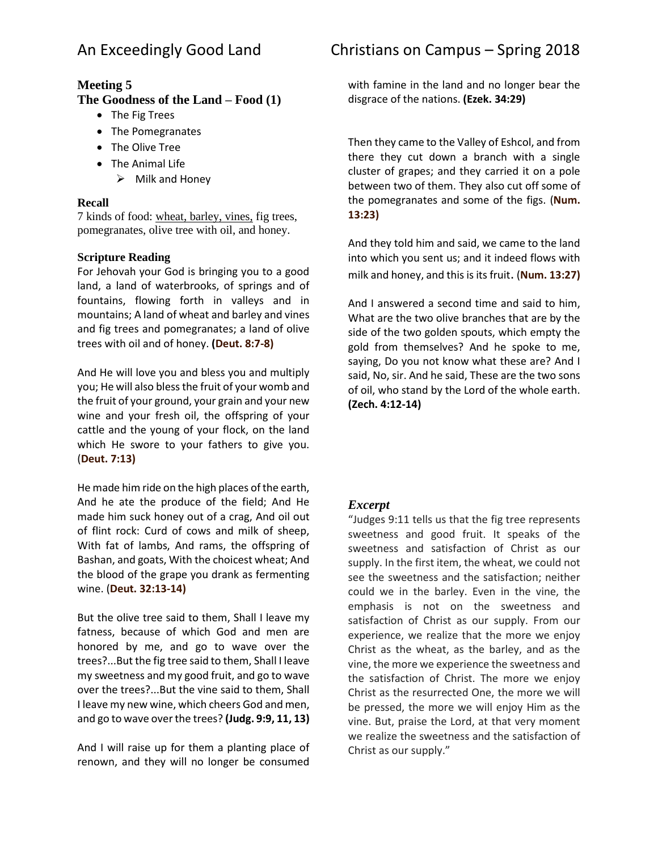# **Meeting 5**

### **The Goodness of the Land – Food (1)**

- The Fig Trees
- The Pomegranates
- The Olive Tree
- The Animal Life
	- $\triangleright$  Milk and Honey

#### **Recall**

7 kinds of food: wheat, barley, vines, fig trees, pomegranates, olive tree with oil, and honey.

#### **Scripture Reading**

For Jehovah your God is bringing you to a good land, a land of waterbrooks, of springs and of fountains, flowing forth in valleys and in mountains; A land of wheat and barley and vines and fig trees and pomegranates; a land of olive trees with oil and of honey. **(Deut. 8:7-8)**

And He will love you and bless you and multiply you; He will also bless the fruit of your womb and the fruit of your ground, your grain and your new wine and your fresh oil, the offspring of your cattle and the young of your flock, on the land which He swore to your fathers to give you. (**Deut. 7:13)**

He made him ride on the high places of the earth, And he ate the produce of the field; And He made him suck honey out of a crag, And oil out of flint rock: Curd of cows and milk of sheep, With fat of lambs, And rams, the offspring of Bashan, and goats, With the choicest wheat; And the blood of the grape you drank as fermenting wine. (**Deut. 32:13-14)**

But the olive tree said to them, Shall I leave my fatness, because of which God and men are honored by me, and go to wave over the trees?...But the fig tree said to them, Shall I leave my sweetness and my good fruit, and go to wave over the trees?...But the vine said to them, Shall I leave my new wine, which cheers God and men, and go to wave over the trees? **(Judg. 9:9, 11, 13)**

And I will raise up for them a planting place of renown, and they will no longer be consumed

with famine in the land and no longer bear the disgrace of the nations. **(Ezek. 34:29)**

Then they came to the Valley of Eshcol, and from there they cut down a branch with a single cluster of grapes; and they carried it on a pole between two of them. They also cut off some of the pomegranates and some of the figs. (**Num. 13:23)**

And they told him and said, we came to the land into which you sent us; and it indeed flows with milk and honey, and this is its fruit. (**Num. 13:27)**

And I answered a second time and said to him, What are the two olive branches that are by the side of the two golden spouts, which empty the gold from themselves? And he spoke to me, saying, Do you not know what these are? And I said, No, sir. And he said, These are the two sons of oil, who stand by the Lord of the whole earth. **(Zech. 4:12-14)**

## *Excerpt*

"Judges 9:11 tells us that the fig tree represents sweetness and good fruit. It speaks of the sweetness and satisfaction of Christ as our supply. In the first item, the wheat, we could not see the sweetness and the satisfaction; neither could we in the barley. Even in the vine, the emphasis is not on the sweetness and satisfaction of Christ as our supply. From our experience, we realize that the more we enjoy Christ as the wheat, as the barley, and as the vine, the more we experience the sweetness and the satisfaction of Christ. The more we enjoy Christ as the resurrected One, the more we will be pressed, the more we will enjoy Him as the vine. But, praise the Lord, at that very moment we realize the sweetness and the satisfaction of Christ as our supply."